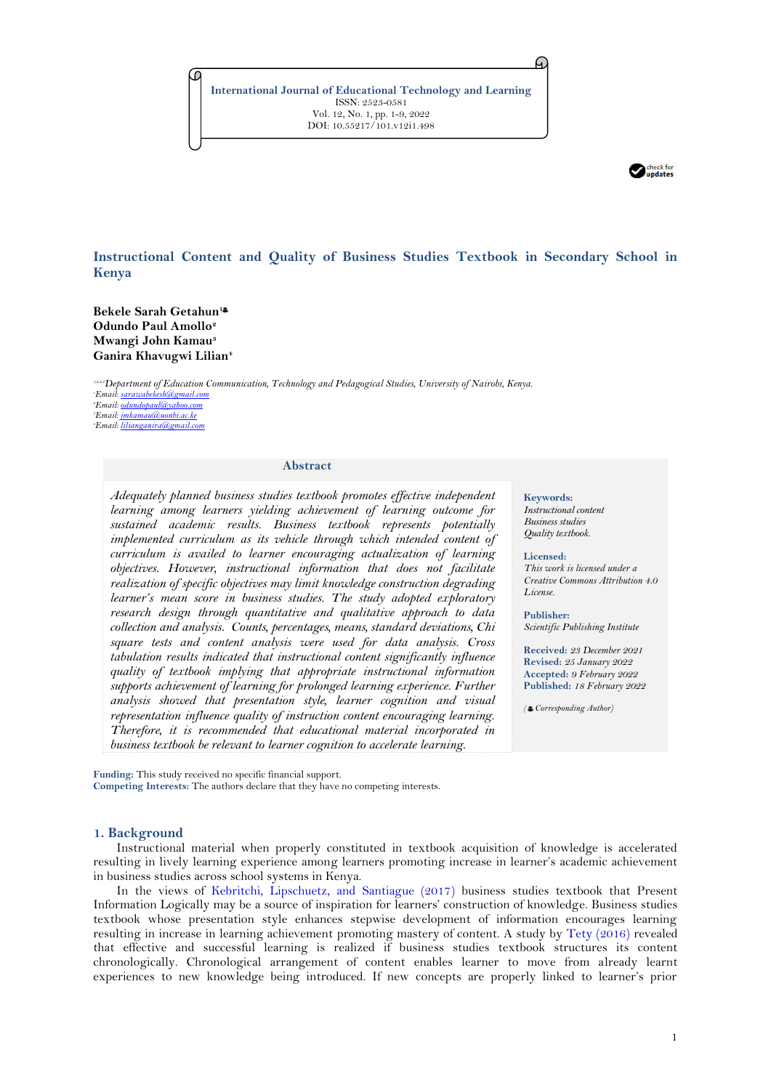**International Journal of Educational Technology and Learning** ISSN: 2523-0581 Vol. 12, No. 1, pp. 1-9, 2022 DOI: 10.55217/101.v12i1.498



# **Instructional Content and Quality of Business Studies Textbook in Secondary School in Kenya**

**Bekele Sarah Getahun<sup>1</sup> Odundo Paul Amollo<sup>2</sup> Mwangi John Kamau<sup>3</sup> Ganira Khavugwi Lilian<sup>4</sup>**

*1,2,3,4Department of Education Communication, Technology and Pedagogical Studies, University of Nairobi, Kenya. Email[: sarawabekesh@gmail.com](mailto:sarawabekesh@gmail.com) <sup>2</sup>Email[: odundopaul@yahoo.com](mailto:odundopaul@yahoo.com) Email[: jmkamau@uonbi.ac.ke](mailto:jmkamau@uonbi.ac.ke) Email[: lilianganira@gmail.com](mailto:lilianganira@gmail.com)*

### **Abstract**

*Adequately planned business studies textbook promotes effective independent learning among learners yielding achievement of learning outcome for sustained academic results. Business textbook represents potentially implemented curriculum as its vehicle through which intended content of curriculum is availed to learner encouraging actualization of learning objectives. However, instructional information that does not facilitate realization of specific objectives may limit knowledge construction degrading learner's mean score in business studies. The study adopted exploratory research design through quantitative and qualitative approach to data collection and analysis. Counts, percentages, means, standard deviations, Chi square tests and content analysis were used for data analysis. Cross tabulation results indicated that instructional content significantly influence quality of textbook implying that appropriate instructional information supports achievement of learning for prolonged learning experience. Further analysis showed that presentation style, learner cognition and visual representation influence quality of instruction content encouraging learning. Therefore, it is recommended that educational material incorporated in business textbook be relevant to learner cognition to accelerate learning.*

**Funding:** This study received no specific financial support. **Competing Interests:** The authors declare that they have no competing interests.

# **1. Background**

Instructional material when properly constituted in textbook acquisition of knowledge is accelerated resulting in lively learning experience among learners promoting increase in learner's academic achievement in business studies across school systems in Kenya.

In the views of [Kebritchi, Lipschuetz, and Santiague \(2017\)](#page-7-0) business studies textbook that Present Information Logically may be a source of inspiration for learners' construction of knowledge. Business studies textbook whose presentation style enhances stepwise development of information encourages learning resulting in increase in learning achievement promoting mastery of content. A study by [Tety \(2016\)](#page-8-0) revealed that effective and successful learning is realized if business studies textbook structures its content chronologically. Chronological arrangement of content enables learner to move from already learnt experiences to new knowledge being introduced. If new concepts are properly linked to learner's prior

**Keywords:** *Instructional content Business studies Quality textbook.*

*License.* 

A.

**Licensed:**  *This work is licensed under a Creative Commons Attribution 4.0* 

**Publisher:**  *Scientific Publishing Institute*

**Received:** *23 December 2021* **Revised:** *25 January 2022* **Accepted:** *9 February 2022* **Published:** *18 February 2022*

*( Corresponding Author)*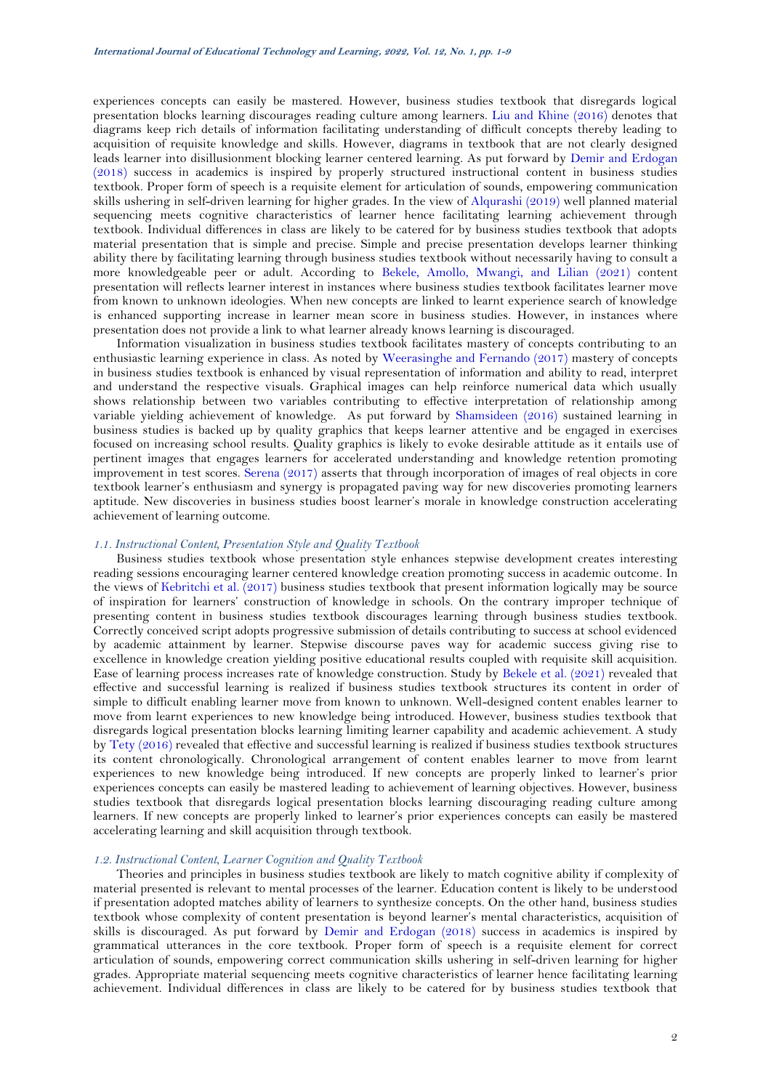experiences concepts can easily be mastered. However, business studies textbook that disregards logical presentation blocks learning discourages reading culture among learners. [Liu and Khine \(2016\)](#page-7-1) denotes that diagrams keep rich details of information facilitating understanding of difficult concepts thereby leading to acquisition of requisite knowledge and skills. However, diagrams in textbook that are not clearly designed leads learner into disillusionment blocking learner centered learning. As put forward by [Demir and Erdogan](#page-7-2)  [\(2018\)](#page-7-2) success in academics is inspired by properly structured instructional content in business studies textbook. Proper form of speech is a requisite element for articulation of sounds, empowering communication skills ushering in self-driven learning for higher grades. In the view of [Alqurashi \(2019\)](#page-7-3) well planned material sequencing meets cognitive characteristics of learner hence facilitating learning achievement through textbook. Individual differences in class are likely to be catered for by business studies textbook that adopts material presentation that is simple and precise. Simple and precise presentation develops learner thinking ability there by facilitating learning through business studies textbook without necessarily having to consult a more knowledgeable peer or adult. According to [Bekele, Amollo, Mwangi, and Lilian \(2021\)](#page-7-4) content presentation will reflects learner interest in instances where business studies textbook facilitates learner move from known to unknown ideologies. When new concepts are linked to learnt experience search of knowledge is enhanced supporting increase in learner mean score in business studies. However, in instances where presentation does not provide a link to what learner already knows learning is discouraged.

Information visualization in business studies textbook facilitates mastery of concepts contributing to an enthusiastic learning experience in class. As noted by [Weerasinghe and Fernando \(2017\)](#page-8-1) mastery of concepts in business studies textbook is enhanced by visual representation of information and ability to read, interpret and understand the respective visuals. Graphical images can help reinforce numerical data which usually shows relationship between two variables contributing to effective interpretation of relationship among variable yielding achievement of knowledge. As put forward by [Shamsideen \(2016\)](#page-8-2) sustained learning in business studies is backed up by quality graphics that keeps learner attentive and be engaged in exercises focused on increasing school results. Quality graphics is likely to evoke desirable attitude as it entails use of pertinent images that engages learners for accelerated understanding and knowledge retention promoting improvement in test scores. [Serena \(2017\)](#page-8-3) asserts that through incorporation of images of real objects in core textbook learner's enthusiasm and synergy is propagated paving way for new discoveries promoting learners aptitude. New discoveries in business studies boost learner's morale in knowledge construction accelerating achievement of learning outcome.

#### *1.1. Instructional Content, Presentation Style and Quality Textbook*

Business studies textbook whose presentation style enhances stepwise development creates interesting reading sessions encouraging learner centered knowledge creation promoting success in academic outcome. In the views of [Kebritchi et al. \(2017\)](#page-7-0) business studies textbook that present information logically may be source of inspiration for learners' construction of knowledge in schools. On the contrary improper technique of presenting content in business studies textbook discourages learning through business studies textbook. Correctly conceived script adopts progressive submission of details contributing to success at school evidenced by academic attainment by learner. Stepwise discourse paves way for academic success giving rise to excellence in knowledge creation yielding positive educational results coupled with requisite skill acquisition. Ease of learning process increases rate of knowledge construction. Study by [Bekele et al. \(2021\)](#page-7-4) revealed that effective and successful learning is realized if business studies textbook structures its content in order of simple to difficult enabling learner move from known to unknown. Well-designed content enables learner to move from learnt experiences to new knowledge being introduced. However, business studies textbook that disregards logical presentation blocks learning limiting learner capability and academic achievement. A study b[y Tety \(2016\)](#page-8-0) revealed that effective and successful learning is realized if business studies textbook structures its content chronologically. Chronological arrangement of content enables learner to move from learnt experiences to new knowledge being introduced. If new concepts are properly linked to learner's prior experiences concepts can easily be mastered leading to achievement of learning objectives. However, business studies textbook that disregards logical presentation blocks learning discouraging reading culture among learners. If new concepts are properly linked to learner's prior experiences concepts can easily be mastered accelerating learning and skill acquisition through textbook.

### *1.2. Instructional Content, Learner Cognition and Quality Textbook*

Theories and principles in business studies textbook are likely to match cognitive ability if complexity of material presented is relevant to mental processes of the learner. Education content is likely to be understood if presentation adopted matches ability of learners to synthesize concepts. On the other hand, business studies textbook whose complexity of content presentation is beyond learner's mental characteristics, acquisition of skills is discouraged. As put forward by [Demir and Erdogan \(2018\)](#page-7-2) success in academics is inspired by grammatical utterances in the core textbook. Proper form of speech is a requisite element for correct articulation of sounds, empowering correct communication skills ushering in self-driven learning for higher grades. Appropriate material sequencing meets cognitive characteristics of learner hence facilitating learning achievement. Individual differences in class are likely to be catered for by business studies textbook that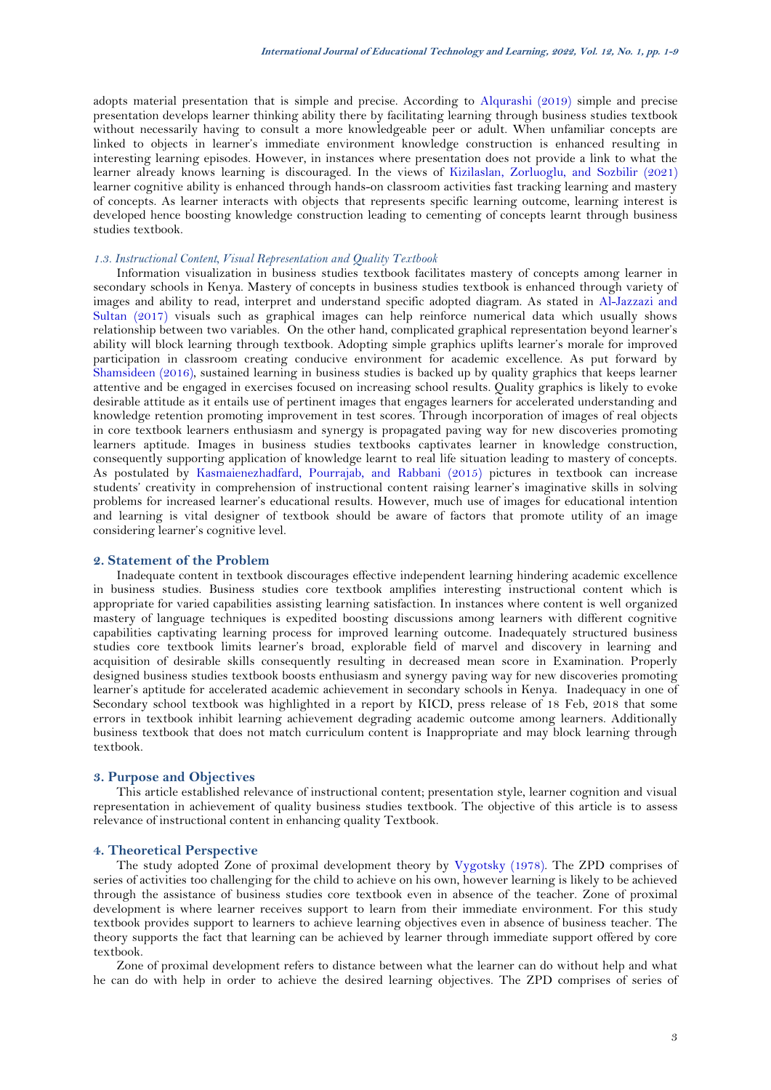adopts material presentation that is simple and precise. According to [Alqurashi \(2019\)](#page-7-3) simple and precise presentation develops learner thinking ability there by facilitating learning through business studies textbook without necessarily having to consult a more knowledgeable peer or adult. When unfamiliar concepts are linked to objects in learner's immediate environment knowledge construction is enhanced resulting in interesting learning episodes. However, in instances where presentation does not provide a link to what the learner already knows learning is discouraged. In the views of [Kizilaslan, Zorluoglu, and Sozbilir \(2021\)](#page-7-5) learner cognitive ability is enhanced through hands-on classroom activities fast tracking learning and mastery of concepts. As learner interacts with objects that represents specific learning outcome, learning interest is developed hence boosting knowledge construction leading to cementing of concepts learnt through business studies textbook.

### *1.3. Instructional Content, Visual Representation and Quality Textbook*

Information visualization in business studies textbook facilitates mastery of concepts among learner in secondary schools in Kenya. Mastery of concepts in business studies textbook is enhanced through variety of images and ability to read, interpret and understand specific adopted diagram. As stated in [Al-Jazzazi and](#page-7-6)  [Sultan \(2017\)](#page-7-6) visuals such as graphical images can help reinforce numerical data which usually shows relationship between two variables. On the other hand, complicated graphical representation beyond learner's ability will block learning through textbook. Adopting simple graphics uplifts learner's morale for improved participation in classroom creating conducive environment for academic excellence. As put forward by [Shamsideen](#page-8-2) (2016), sustained learning in business studies is backed up by quality graphics that keeps learner attentive and be engaged in exercises focused on increasing school results. Quality graphics is likely to evoke desirable attitude as it entails use of pertinent images that engages learners for accelerated understanding and knowledge retention promoting improvement in test scores. Through incorporation of images of real objects in core textbook learners enthusiasm and synergy is propagated paving way for new discoveries promoting learners aptitude. Images in business studies textbooks captivates learner in knowledge construction, consequently supporting application of knowledge learnt to real life situation leading to mastery of concepts. As postulated by [Kasmaienezhadfard, Pourrajab, and Rabbani \(2015\)](#page-7-7) pictures in textbook can increase students' creativity in comprehension of instructional content raising learner's imaginative skills in solving problems for increased learner's educational results. However, much use of images for educational intention and learning is vital designer of textbook should be aware of factors that promote utility of an image considering learner's cognitive level.

# **2. Statement of the Problem**

Inadequate content in textbook discourages effective independent learning hindering academic excellence in business studies. Business studies core textbook amplifies interesting instructional content which is appropriate for varied capabilities assisting learning satisfaction. In instances where content is well organized mastery of language techniques is expedited boosting discussions among learners with different cognitive capabilities captivating learning process for improved learning outcome. Inadequately structured business studies core textbook limits learner's broad, explorable field of marvel and discovery in learning and acquisition of desirable skills consequently resulting in decreased mean score in Examination. Properly designed business studies textbook boosts enthusiasm and synergy paving way for new discoveries promoting learner's aptitude for accelerated academic achievement in secondary schools in Kenya. Inadequacy in one of Secondary school textbook was highlighted in a report by KICD, press release of 18 Feb, 2018 that some errors in textbook inhibit learning achievement degrading academic outcome among learners. Additionally business textbook that does not match curriculum content is Inappropriate and may block learning through textbook.

### **3. Purpose and Objectives**

This article established relevance of instructional content; presentation style, learner cognition and visual representation in achievement of quality business studies textbook. The objective of this article is to assess relevance of instructional content in enhancing quality Textbook.

#### **4. Theoretical Perspective**

The study adopted Zone of proximal development theory by [Vygotsky \(1978\)](#page-8-4). The ZPD comprises of series of activities too challenging for the child to achieve on his own, however learning is likely to be achieved through the assistance of business studies core textbook even in absence of the teacher. Zone of proximal development is where learner receives support to learn from their immediate environment. For this study textbook provides support to learners to achieve learning objectives even in absence of business teacher. The theory supports the fact that learning can be achieved by learner through immediate support offered by core textbook.

Zone of proximal development refers to distance between what the learner can do without help and what he can do with help in order to achieve the desired learning objectives. The ZPD comprises of series of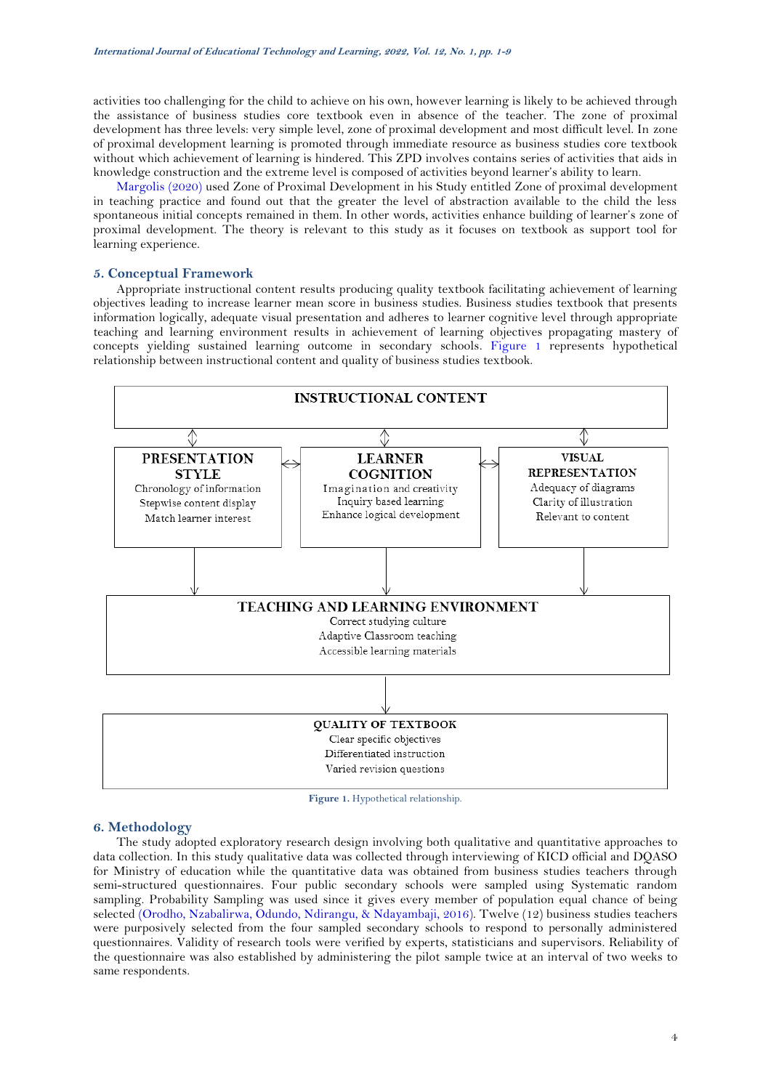activities too challenging for the child to achieve on his own, however learning is likely to be achieved through the assistance of business studies core textbook even in absence of the teacher. The zone of proximal development has three levels: very simple level, zone of proximal development and most difficult level. In zone of proximal development learning is promoted through immediate resource as business studies core textbook without which achievement of learning is hindered. This ZPD involves contains series of activities that aids in knowledge construction and the extreme level is composed of activities beyond learner's ability to learn.

[Margolis \(2020\)](#page-7-8) used Zone of Proximal Development in his Study entitled Zone of proximal development in teaching practice and found out that the greater the level of abstraction available to the child the less spontaneous initial concepts remained in them. In other words, activities enhance building of learner's zone of proximal development. The theory is relevant to this study as it focuses on textbook as support tool for learning experience.

### **5. Conceptual Framework**

Appropriate instructional content results producing quality textbook facilitating achievement of learning objectives leading to increase learner mean score in business studies. Business studies textbook that presents information logically, adequate visual presentation and adheres to learner cognitive level through appropriate teaching and learning environment results in achievement of learning objectives propagating mastery of concepts yielding sustained learning outcome in secondary schools. [Figure 1](#page-3-0) represents hypothetical relationship between instructional content and quality of business studies textbook.



**Figure 1.** Hypothetical relationship.

## <span id="page-3-0"></span>**6. Methodology**

The study adopted exploratory research design involving both qualitative and quantitative approaches to data collection. In this study qualitative data was collected through interviewing of KICD official and DQASO for Ministry of education while the quantitative data was obtained from business studies teachers through semi-structured questionnaires. Four public secondary schools were sampled using Systematic random sampling. Probability Sampling was used since it gives every member of population equal chance of being selected [\(Orodho, Nzabalirwa, Odundo, Ndirangu, & Ndayambaji, 2016\)](#page-7-9). Twelve (12) business studies teachers were purposively selected from the four sampled secondary schools to respond to personally administered questionnaires. Validity of research tools were verified by experts, statisticians and supervisors. Reliability of the questionnaire was also established by administering the pilot sample twice at an interval of two weeks to same respondents.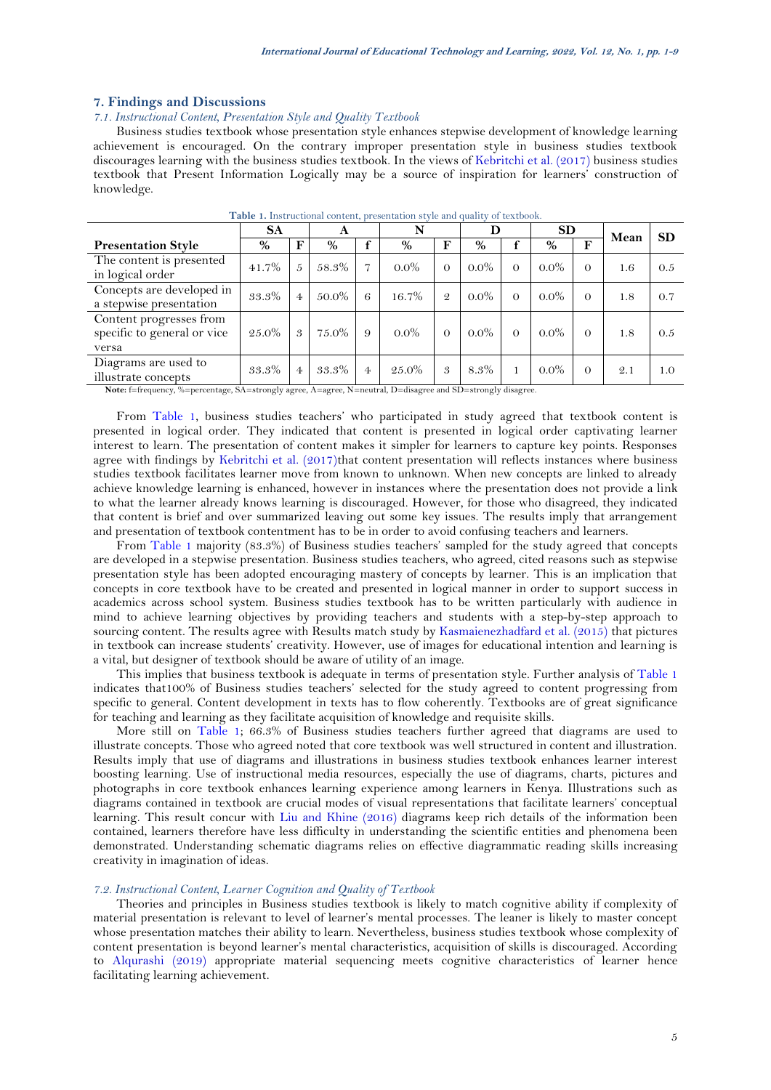## **7. Findings and Discussions**

## *7.1. Instructional Content, Presentation Style and Quality Textbook*

Business studies textbook whose presentation style enhances stepwise development of knowledge learning achievement is encouraged. On the contrary improper presentation style in business studies textbook discourages learning with the business studies textbook. In the views of [Kebritchi et al. \(2017\)](#page-7-0) business studies textbook that Present Information Logically may be a source of inspiration for learners' construction of knowledge.

<span id="page-4-0"></span>

|                                                                 | <b>SA</b> |                | A     |                | N        |                                              |         |          | <b>SD</b> |          | Mean | <b>SD</b> |
|-----------------------------------------------------------------|-----------|----------------|-------|----------------|----------|----------------------------------------------|---------|----------|-----------|----------|------|-----------|
| <b>Presentation Style</b>                                       | $\%$      | F              | %     |                | $\%$     | F                                            | %       |          | $\%$      |          |      |           |
| The content is presented<br>in logical order                    | $41.7\%$  | 5              | 58.3% | 17             | $0.0\%$  | $\Omega$                                     | $0.0\%$ | $\Omega$ | $0.0\%$   | $\Omega$ | 1.6  | 0.5       |
| Concepts are developed in<br>a stepwise presentation            | 33.3%     | $\overline{4}$ | 50.0% | 6              | 16.7%    | $\mathcal{Q}$                                | $0.0\%$ | $\Omega$ | $0.0\%$   | $\Omega$ | 1.8  | 0.7       |
| Content progresses from<br>specific to general or vice<br>versa | $25.0\%$  | 3              | 75.0% | 9              | $0.0\%$  | $\Omega$                                     | $0.0\%$ | $\Omega$ | $0.0\%$   | $\Omega$ | 1.8  | 0.5       |
| Diagrams are used to<br>illustrate concepts                     | 33.3%     | $\overline{4}$ | 33.3% | $\overline{4}$ | $25.0\%$ | 3<br><b><i><u>A</u></i></b> <i>a a a a a</i> | 8.3%    |          | $0.0\%$   | $\Omega$ | 2.1  | 1.0       |

**Table 1.** Instructional content, presentation style and quality of textbook.

**Note:** f=frequency, %=percentage, SA=strongly agree, A=agree, N=neutral, D=disagree and SD=strongly disagree.

From [Table 1](#page-4-0), business studies teachers' who participated in study agreed that textbook content is presented in logical order. They indicated that content is presented in logical order captivating learner interest to learn. The presentation of content makes it simpler for learners to capture key points. Responses agree with findings by [Kebritchi et al. \(2017\)](#page-7-0)that content presentation will reflects instances where business studies textbook facilitates learner move from known to unknown. When new concepts are linked to already achieve knowledge learning is enhanced, however in instances where the presentation does not provide a link to what the learner already knows learning is discouraged. However, for those who disagreed, they indicated that content is brief and over summarized leaving out some key issues. The results imply that arrangement and presentation of textbook contentment has to be in order to avoid confusing teachers and learners.

From [Table 1](#page-4-0) majority (83.3%) of Business studies teachers' sampled for the study agreed that concepts are developed in a stepwise presentation. Business studies teachers, who agreed, cited reasons such as stepwise presentation style has been adopted encouraging mastery of concepts by learner. This is an implication that concepts in core textbook have to be created and presented in logical manner in order to support success in academics across school system. Business studies textbook has to be written particularly with audience in mind to achieve learning objectives by providing teachers and students with a step-by-step approach to sourcing content. The results agree with Results match study by [Kasmaienezhadfard et al. \(2015\)](#page-7-7) that pictures in textbook can increase students' creativity. However, use of images for educational intention and learning is a vital, but designer of textbook should be aware of utility of an image.

This implies that business textbook is adequate in terms of presentation style. Further analysis of [Table 1](#page-4-0) indicates that100% of Business studies teachers' selected for the study agreed to content progressing from specific to general. Content development in texts has to flow coherently. Textbooks are of great significance for teaching and learning as they facilitate acquisition of knowledge and requisite skills.

More still on [Table 1;](#page-4-0) 66.3% of Business studies teachers further agreed that diagrams are used to illustrate concepts. Those who agreed noted that core textbook was well structured in content and illustration. Results imply that use of diagrams and illustrations in business studies textbook enhances learner interest boosting learning. Use of instructional media resources, especially the use of diagrams, charts, pictures and photographs in core textbook enhances learning experience among learners in Kenya. Illustrations such as diagrams contained in textbook are crucial modes of visual representations that facilitate learners' conceptual learning. This result concur with [Liu and Khine \(2016\)](#page-7-1) diagrams keep rich details of the information been contained, learners therefore have less difficulty in understanding the scientific entities and phenomena been demonstrated. Understanding schematic diagrams relies on effective diagrammatic reading skills increasing creativity in imagination of ideas.

### *7.2. Instructional Content, Learner Cognition and Quality of Textbook*

Theories and principles in Business studies textbook is likely to match cognitive ability if complexity of material presentation is relevant to level of learner's mental processes. The leaner is likely to master concept whose presentation matches their ability to learn. Nevertheless, business studies textbook whose complexity of content presentation is beyond learner's mental characteristics, acquisition of skills is discouraged. According to [Alqurashi \(2019\)](#page-7-3) appropriate material sequencing meets cognitive characteristics of learner hence facilitating learning achievement.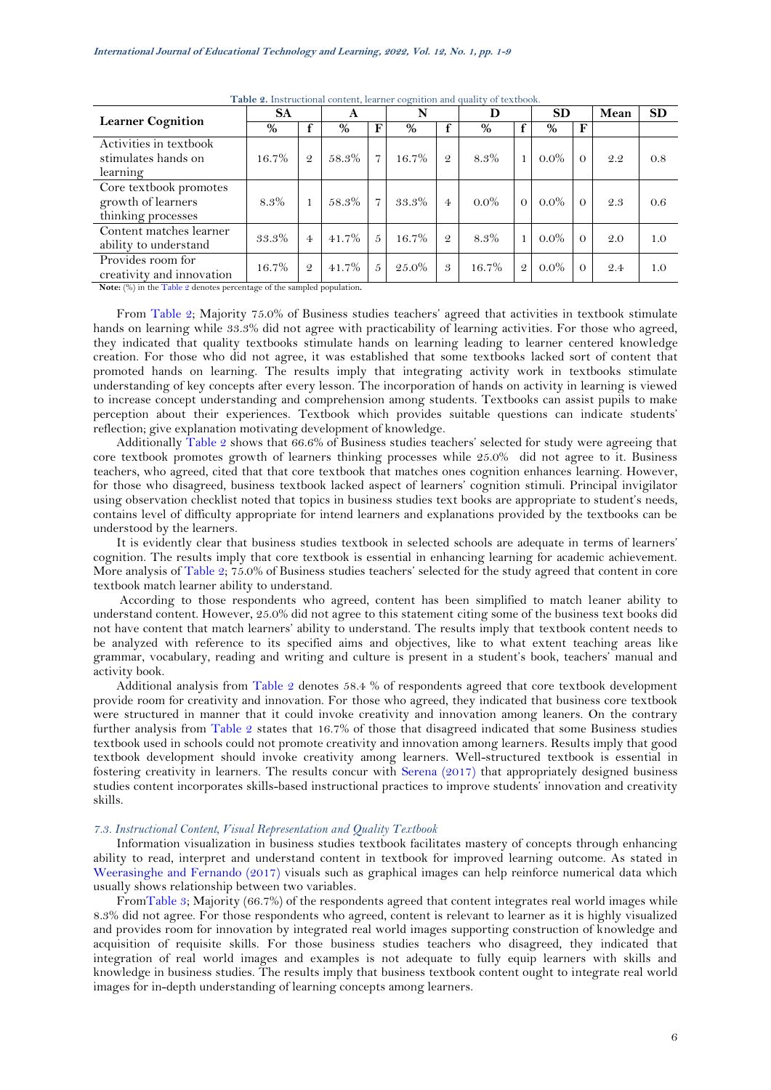<span id="page-5-0"></span>

| <b>Learner Cognition</b>                                                                                                                                                                   | <b>SA</b> |                | A        |               | $\overline{\phantom{m}}$<br>N |                | D       |               | <b>SD</b> |          | Mean | <b>SD</b> |
|--------------------------------------------------------------------------------------------------------------------------------------------------------------------------------------------|-----------|----------------|----------|---------------|-------------------------------|----------------|---------|---------------|-----------|----------|------|-----------|
|                                                                                                                                                                                            | $\%$      |                | $\%$     | F             | %                             |                | $\%$    |               | %         | F        |      |           |
| Activities in textbook<br>stimulates hands on<br>learning                                                                                                                                  | $16.7\%$  | $\mathcal{Q}$  | 58.3%    | 7             | 16.7%                         | $\mathcal{Q}$  | 8.3%    |               | $0.0\%$   | $\Omega$ | 2.2  | 0.8       |
| Core textbook promotes<br>growth of learners<br>thinking processes                                                                                                                         | 8.3%      |                | 58.3%    | 7             | 33.3%                         | $\overline{4}$ | $0.0\%$ | $\Omega$      | $0.0\%$   | $\Omega$ | 2.3  | 0.6       |
| Content matches learner<br>ability to understand                                                                                                                                           | 33.3%     | $\overline{4}$ | $41.7\%$ | $\mathcal{L}$ | 16.7%                         | $\overline{Q}$ | 8.3%    |               | $0.0\%$   | $\Omega$ | 2.0  | 1.0       |
| Provides room for<br>creativity and innovation<br>$\mathbf{M}$ and $\mathbf{M}$ are $\mathbf{M}$ and $\mathbf{M}$ are assumed to $\mathbf{M}$ and $\mathbf{M}$ are assumed to $\mathbf{M}$ | 16.7%     | $\mathcal{Q}$  | 41.7%    | $\tilde{D}$   | $25.0\%$                      | 3              | 16.7%   | $\mathcal{Q}$ | $0.0\%$   | $\Omega$ | 9.4  | 1.0       |

**Table 2.** Instructional content, learner cognition and quality of textbook.

**Note:** (%) in th[e Table 2](#page-5-0) denotes percentage of the sampled population**.**

From [Table 2;](#page-5-0) Majority 75.0% of Business studies teachers' agreed that activities in textbook stimulate hands on learning while 33.3% did not agree with practicability of learning activities. For those who agreed, they indicated that quality textbooks stimulate hands on learning leading to learner centered knowledge creation. For those who did not agree, it was established that some textbooks lacked sort of content that promoted hands on learning. The results imply that integrating activity work in textbooks stimulate understanding of key concepts after every lesson. The incorporation of hands on activity in learning is viewed to increase concept understanding and comprehension among students. Textbooks can assist pupils to make perception about their experiences. Textbook which provides suitable questions can indicate students' reflection; give explanation motivating development of knowledge.

Additionally [Table](#page-5-0) 2 shows that 66.6% of Business studies teachers' selected for study were agreeing that core textbook promotes growth of learners thinking processes while 25.0% did not agree to it. Business teachers, who agreed, cited that that core textbook that matches ones cognition enhances learning. However, for those who disagreed, business textbook lacked aspect of learners' cognition stimuli. Principal invigilator using observation checklist noted that topics in business studies text books are appropriate to student's needs, contains level of difficulty appropriate for intend learners and explanations provided by the textbooks can be understood by the learners.

It is evidently clear that business studies textbook in selected schools are adequate in terms of learners' cognition. The results imply that core textbook is essential in enhancing learning for academic achievement. More analysis of [Table 2;](#page-5-0) 75.0% of Business studies teachers' selected for the study agreed that content in core textbook match learner ability to understand.

According to those respondents who agreed, content has been simplified to match leaner ability to understand content. However, 25.0% did not agree to this statement citing some of the business text books did not have content that match learners' ability to understand. The results imply that textbook content needs to be analyzed with reference to its specified aims and objectives, like to what extent teaching areas like grammar, vocabulary, reading and writing and culture is present in a student's book, teachers' manual and activity book.

Additional analysis from [Table 2](#page-5-0) denotes 58.4 % of respondents agreed that core textbook development provide room for creativity and innovation. For those who agreed, they indicated that business core textbook were structured in manner that it could invoke creativity and innovation among leaners. On the contrary further analysis from [Table 2](#page-5-0) states that 16.7% of those that disagreed indicated that some Business studies textbook used in schools could not promote creativity and innovation among learners. Results imply that good textbook development should invoke creativity among learners. Well-structured textbook is essential in fostering creativity in learners. The results concur with [Serena \(2017\)](#page-8-3) that appropriately designed business studies content incorporates skills-based instructional practices to improve students' innovation and creativity skills.

### *7.3. Instructional Content, Visual Representation and Quality Textbook*

Information visualization in business studies textbook facilitates mastery of concepts through enhancing ability to read, interpret and understand content in textbook for improved learning outcome. As stated in [Weerasinghe and Fernando \(2017\)](#page-8-1) visuals such as graphical images can help reinforce numerical data which usually shows relationship between two variables.

Fro[mTable 3;](#page-6-0) Majority (66.7%) of the respondents agreed that content integrates real world images while 8.3% did not agree. For those respondents who agreed, content is relevant to learner as it is highly visualized and provides room for innovation by integrated real world images supporting construction of knowledge and acquisition of requisite skills. For those business studies teachers who disagreed, they indicated that integration of real world images and examples is not adequate to fully equip learners with skills and knowledge in business studies. The results imply that business textbook content ought to integrate real world images for in-depth understanding of learning concepts among learners.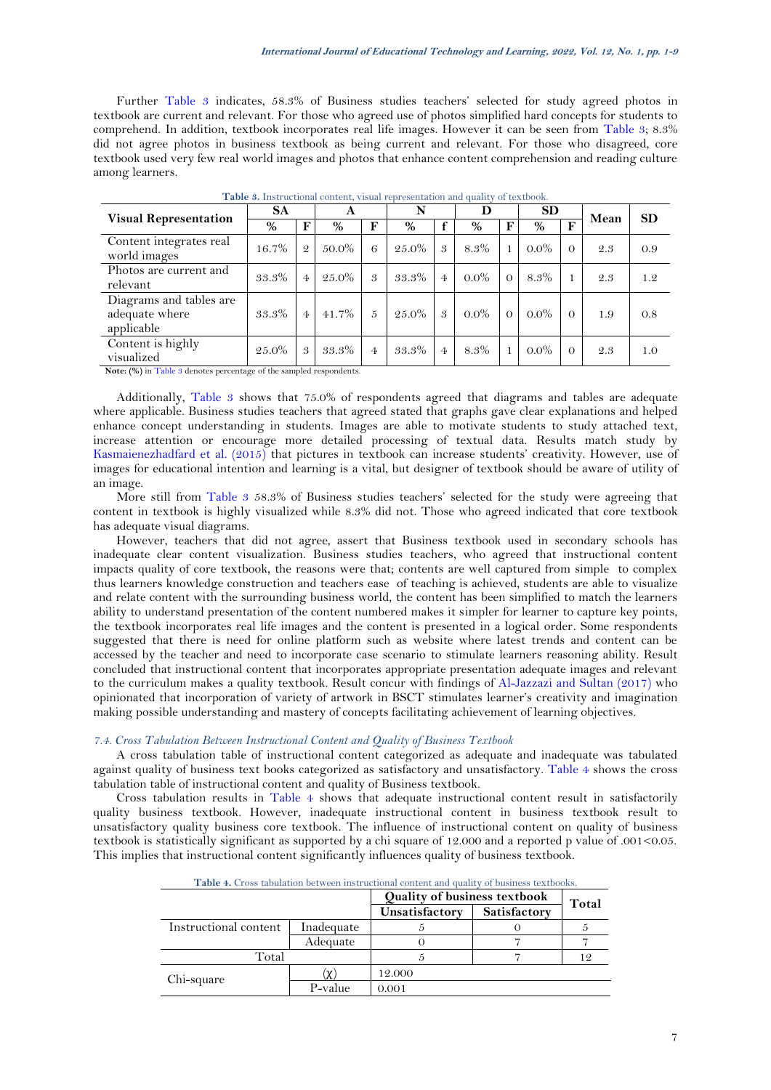Further [Table 3](#page-6-0) indicates, 58.3% of Business studies teachers' selected for study agreed photos in textbook are current and relevant. For those who agreed use of photos simplified hard concepts for students to comprehend. In addition, textbook incorporates real life images. However it can be seen from [Table 3;](#page-6-0) 8.3% did not agree photos in business textbook as being current and relevant. For those who disagreed, core textbook used very few real world images and photos that enhance content comprehension and reading culture among learners.

<span id="page-6-0"></span>

| <b>Visual Representation</b>                            | <b>SA</b> |                | A        |                | N        |                | D       |          | <b>SD</b> |          | Mean | <b>SD</b> |
|---------------------------------------------------------|-----------|----------------|----------|----------------|----------|----------------|---------|----------|-----------|----------|------|-----------|
|                                                         | %         | F              | %        | F              | %        | f              | %       | F        | $\%$      | F        |      |           |
| Content integrates real<br>world images                 | 16.7%     | $\mathcal{Q}$  | 50.0%    | 6              | $25.0\%$ | 3              | 8.3%    |          | $0.0\%$   | $\Omega$ | 2.3  | 0.9       |
| Photos are current and<br>relevant                      | 33.3%     | $\overline{4}$ | 25.0%    | 3              | 33.3%    | $\overline{4}$ | $0.0\%$ | $\Omega$ | 8.3%      |          | 2.3  | 1.2       |
| Diagrams and tables are<br>adequate where<br>applicable | 33.3%     | $\overline{4}$ | $41.7\%$ | 5              | $25.0\%$ | 3              | $0.0\%$ | $\Omega$ | $0.0\%$   | $\Omega$ | 1.9  | 0.8       |
| Content is highly<br>visualized                         | $25.0\%$  | 3              | 33.3%    | $\overline{4}$ | 33.3%    | $\overline{4}$ | 8.3%    |          | $0.0\%$   | $\Omega$ | 2.3  | 1.0       |

**Table 3.** Instructional content, visual representation and quality of textbook.

**Note: (%)** in [Table 3](#page-6-0) denotes percentage of the sampled respondents.

Additionally, [Table 3](#page-6-0) shows that 75.0% of respondents agreed that diagrams and tables are adequate where applicable. Business studies teachers that agreed stated that graphs gave clear explanations and helped enhance concept understanding in students. Images are able to motivate students to study attached text, increase attention or encourage more detailed processing of textual data. Results match study by [Kasmaienezhadfard et al. \(2015\)](#page-7-7) that pictures in textbook can increase students' creativity. However, use of images for educational intention and learning is a vital, but designer of textbook should be aware of utility of an image.

More still from [Table 3](#page-6-0) 58.3% of Business studies teachers' selected for the study were agreeing that content in textbook is highly visualized while 8.3% did not. Those who agreed indicated that core textbook has adequate visual diagrams.

However, teachers that did not agree, assert that Business textbook used in secondary schools has inadequate clear content visualization. Business studies teachers, who agreed that instructional content impacts quality of core textbook, the reasons were that; contents are well captured from simple to complex thus learners knowledge construction and teachers ease of teaching is achieved, students are able to visualize and relate content with the surrounding business world, the content has been simplified to match the learners ability to understand presentation of the content numbered makes it simpler for learner to capture key points, the textbook incorporates real life images and the content is presented in a logical order. Some respondents suggested that there is need for online platform such as website where latest trends and content can be accessed by the teacher and need to incorporate case scenario to stimulate learners reasoning ability. Result concluded that instructional content that incorporates appropriate presentation adequate images and relevant to the curriculum makes a quality textbook. Result concur with findings of [Al-Jazzazi and Sultan \(2017\)](#page-7-6) who opinionated that incorporation of variety of artwork in BSCT stimulates learner's creativity and imagination making possible understanding and mastery of concepts facilitating achievement of learning objectives.

#### *7.4. Cross Tabulation Between Instructional Content and Quality of Business Textbook*

A cross tabulation table of instructional content categorized as adequate and inadequate was tabulated against quality of business text books categorized as satisfactory and unsatisfactory. [Table 4](#page-6-1) shows the cross tabulation table of instructional content and quality of Business textbook.

<span id="page-6-1"></span>Cross tabulation results in Table 4 shows that adequate instructional content result in satisfactorily quality business textbook. However, inadequate instructional content in business textbook result to unsatisfactory quality business core textbook. The influence of instructional content on quality of business textbook is statistically significant as supported by a chi square of 12.000 and a reported p value of .001<0.05. This implies that instructional content significantly influences quality of business textbook.

|                       |            | <b>Quality of business textbook</b> | Total |  |
|-----------------------|------------|-------------------------------------|-------|--|
|                       |            | Unsatisfactory                      |       |  |
| Instructional content | Inadequate |                                     |       |  |
|                       | Adequate   |                                     |       |  |
| Total                 |            |                                     |       |  |
| Chi-square            |            | 12.000                              |       |  |
|                       | P-value    | 0.001                               |       |  |

**Table 4.** Cross tabulation between instructional content and quality of business textbooks.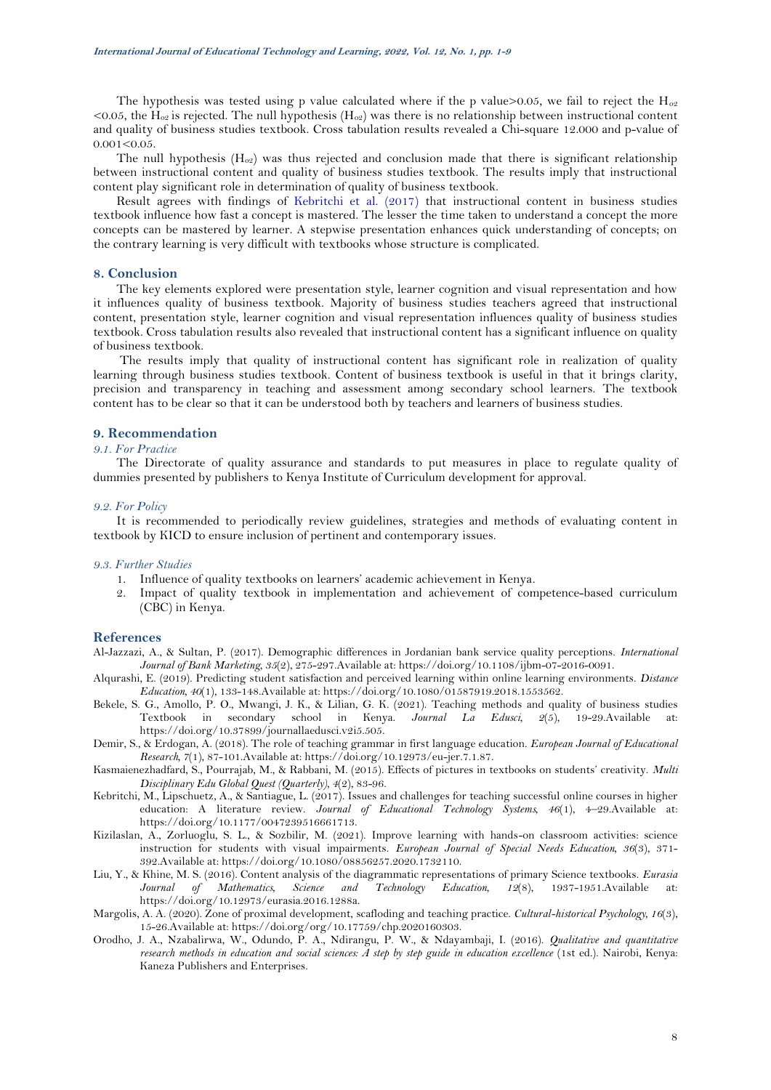The hypothesis was tested using p value calculated where if the p value >0.05, we fail to reject the  $H_{\alpha}$ <sup>2</sup> <0.05, the H<sub>o2</sub> is rejected. The null hypothesis (H<sub>o2</sub>) was there is no relationship between instructional content and quality of business studies textbook. Cross tabulation results revealed a Chi-square 12.000 and p-value of  $0.001<0.05$ .

The null hypothesis  $(H_{o2})$  was thus rejected and conclusion made that there is significant relationship between instructional content and quality of business studies textbook. The results imply that instructional content play significant role in determination of quality of business textbook.

Result agrees with findings of [Kebritchi et al. \(2017\)](#page-7-0) that instructional content in business studies textbook influence how fast a concept is mastered. The lesser the time taken to understand a concept the more concepts can be mastered by learner. A stepwise presentation enhances quick understanding of concepts; on the contrary learning is very difficult with textbooks whose structure is complicated.

#### **8. Conclusion**

The key elements explored were presentation style, learner cognition and visual representation and how it influences quality of business textbook. Majority of business studies teachers agreed that instructional content, presentation style, learner cognition and visual representation influences quality of business studies textbook. Cross tabulation results also revealed that instructional content has a significant influence on quality of business textbook.

The results imply that quality of instructional content has significant role in realization of quality learning through business studies textbook. Content of business textbook is useful in that it brings clarity, precision and transparency in teaching and assessment among secondary school learners. The textbook content has to be clear so that it can be understood both by teachers and learners of business studies.

### **9. Recommendation**

# *9.1. For Practice*

The Directorate of quality assurance and standards to put measures in place to regulate quality of dummies presented by publishers to Kenya Institute of Curriculum development for approval.

### *9.2. For Policy*

It is recommended to periodically review guidelines, strategies and methods of evaluating content in textbook by KICD to ensure inclusion of pertinent and contemporary issues.

#### *9.3. Further Studies*

- 1. Influence of quality textbooks on learners' academic achievement in Kenya.
- 2. Impact of quality textbook in implementation and achievement of competence-based curriculum (CBC) in Kenya.

#### **References**

- <span id="page-7-6"></span>Al-Jazzazi, A., & Sultan, P. (2017). Demographic differences in Jordanian bank service quality perceptions. *International Journal of Bank Marketing, 35*(2), 275-297.Available at: https://doi.org/10.1108/ijbm-07-2016-0091.
- <span id="page-7-3"></span>Alqurashi, E. (2019). Predicting student satisfaction and perceived learning within online learning environments. *Distance Education, 40*(1), 133-148.Available at: https://doi.org/10.1080/01587919.2018.1553562.
- <span id="page-7-4"></span>Bekele, S. G., Amollo, P. O., Mwangi, J. K., & Lilian, G. K. (2021). Teaching methods and quality of business studies Textbook in secondary school in Kenya. *Journal La Edusci, 2*(5), 19-29.Available at: https://doi.org/10.37899/journallaedusci.v2i5.505.
- <span id="page-7-2"></span>Demir, S., & Erdogan, A. (2018). The role of teaching grammar in first language education. *European Journal of Educational Research, 7*(1), 87-101.Available at: https://doi.org/10.12973/eu-jer.7.1.87.
- <span id="page-7-7"></span>Kasmaienezhadfard, S., Pourrajab, M., & Rabbani, M. (2015). Effects of pictures in textbooks on students' creativity. *Multi Disciplinary Edu Global Quest (Quarterly), 4*(2), 83-96.
- <span id="page-7-0"></span>Kebritchi, M., Lipschuetz, A., & Santiague, L. (2017). Issues and challenges for teaching successful online courses in higher education: A literature review. *Journal of Educational Technology Systems, 46*(1), 4–29.Available at: https://doi.org/10.1177/0047239516661713.
- <span id="page-7-5"></span>Kizilaslan, A., Zorluoglu, S. L., & Sozbilir, M. (2021). Improve learning with hands-on classroom activities: science instruction for students with visual impairments. *European Journal of Special Needs Education, 36*(3), 371- 392.Available at: https://doi.org/10.1080/08856257.2020.1732110.
- <span id="page-7-1"></span>Liu, Y., & Khine, M. S. (2016). Content analysis of the diagrammatic representations of primary Science textbooks. *Eurasia Journal of Mathematics, Science and Technology Education, 12*(8), 1937-1951.Available at: https://doi.org/10.12973/eurasia.2016.1288a.
- <span id="page-7-8"></span>Margolis, A. A. (2020). Zone of proximal development, scafloding and teaching practice. *Cultural-historical Psychology, 16*(3), 15-26.Available at: https://doi.org/org/10.17759/chp.2020160303.
- <span id="page-7-9"></span>Orodho, J. A., Nzabalirwa, W., Odundo, P. A., Ndirangu, P. W., & Ndayambaji, I. (2016). *Qualitative and quantitative research methods in education and social sciences: A step by step guide in education excellence* (1st ed.). Nairobi, Kenya: Kaneza Publishers and Enterprises.